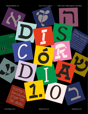*[Naipe Foundry](http://naipe.xyz) & Hafontia*

Discórdia Specimen v.1.0 **Altar Accepts Accept Accept Accepts** *Discordia* Álvaro Franca / Felipe Casaprima / Ben Nathan

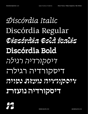# *Discórdia Italic* Discórdia Regular *Discórdia Bold Italic* **Discórdia Bold** *דיסקורדיה רגילה* דיסקורדיה רגילה *דיסקורדיה נועזת נטויה* **דיסקורדיה נועזת**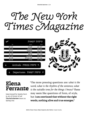*The New York Times Magazine*

|                    | טיסות יוצאות            |        |
|--------------------|-------------------------|--------|
| זמן                | מיקום                   | טיסה   |
| 20 20              | לונדון                  | AV 237 |
| 20 45              | הלנסקי                  | BD 327 |
| 20 55              | מוסקבה                  | SQ 214 |
| $\overline{21}$ 25 | פאריז                   | SG 394 |
| 21 30              | מילאן                   | HR 543 |
| 21 40              | ברצלונה                 | TY 339 |
| 21 55              | לוס אנג׳לס              | AS 742 |
| 22 05              | ברלין                   | DN 923 |
|                    | Arrivals א טיסות נכנסות |        |

7 טיסות יוצאות Departures



## **Elena Ferrante**

Interviewed by Sandra Ferri in *Art of Fiction № 228* **The Paris Review** issue 212 Spring 2015

"The more pressing questions are: *what is the word, what is the rhythm of the sentence, what is the suitable tone for the things I know?* These may seem like questions of form, of style, but **I am convinced that without the right words, nothing alive and true emerges."**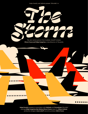*Naipe Foundry* and *Hafontia* present "*Discórdia*" or



The new motion picture from Academy Award® winners **Álvaro Franca and Felipe Casaprima** writer/directors of *Pacaembu*



[©2021 Álvaro Franca, Felipe Casaprima, Ben Nathan /](http://naipe.xyz) *Naipe Foundry* production designer **Linus Lohoff** executive producer **Mário Franca Naipe Foundry** presents in association with **Hafontia** and **FutureFonts** *"Discórdia"* starring **Felipe Casaprima Ben Nathan Álvaro Franca** music by **Xibeca Caliente**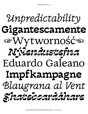# Unpredictability Gigantescamente LE Wytworność D Nýlendustefna Eduardo Galeano Impfkampagne Blaugrana al Vent Skateboardäkare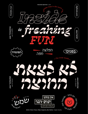

[©2021 Álvaro Franca, Felipe Casaprima, Ben Nathan /](http://naipe.xyz) *Naipe Foundry*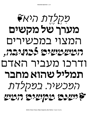# *ת היא❦ ד ל ִקְ מ ֶ ֶ* **מערך של מקשים** המצוי במכשירים *המשמשים לכתיבה,* ודרכו מעביר האדם **תמליל שהוא מחבר** *המכשיר. במקלדת ❦ישנם מקשים המש*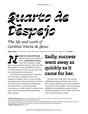*Quarto de Despejo The life and work of* 

*Carolina Maria de Jesus*

**Ângela Fragata** is a researcher at *Universidade Federal Fluminense* ❦ Rio de Janeiro ❦ 61/2 minutes read • **SHARE ↗**

EARLY 60 YEARS AFTER HER<br>
memoir became a best-seller in<br>
Brazil, Carolina Maria de Jesus<br>
(\*1914 †1977) remains a tragic<br>
figure in the Brazilian Literary Canon. Her 1960 memoir became a best-seller in Brazil, **Carolina Maria de Jesus** (\*1914 †1977) remains a tragic debut, *Quarto de Despejo*, (published in the U.S. as '*Child of the Dark'*) is the only account of life in a brazilian *favela* in the period.1

Her memoir was picked up by a journalist and from there it exploded, sold in very impressive numbers, and very soon Carolina was being interviewed and invited to all kinds of social circles. It seemed like the Brazilian elites were ready to confront the deep contradictions of their society, $2$  to listen to the voices and stories historically marginalized black and poor.

## **Sadly, success went away as quickly as it came for her.**

Her next four books didn't sell and the publishing houses turned their back on her.3 Now, recent academic research has brought her career back to the spotlight with an upcoming exhibition and posthumous award from the *Academia Brasileira de Letras*, Brazil's oldest and most important literary society.

1 **SANTOS, Alexandre** *Silence and Theft: Black and Brown voices in Latin American Literature (1925-1990)* • São Paulo: Universidade de São Paulo (USP), 2018 p. 22

<sup>2</sup> Alexandre Santos goes more in depth into this issue highlighting the way that existing colonial power structures self-perpetuate in Brazil and other Latin American nations through elite manipulation.

3 **SANTOS, Alexandre** idem p. 134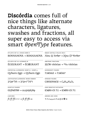## **Discórdia** comes full of nice things like alternate characters, ligatures, swashes and fractions, all super easy to access via smart *OpenType* features.

| STYLISTIC SET 01: UPSIDE DOWN N                                                                            | <b>SWASH CAPITALS (ITALICS ONLY)</b>                                  |  |
|------------------------------------------------------------------------------------------------------------|-----------------------------------------------------------------------|--|
| $\text{BONNANOVA} \rightarrow \text{BONNANOVA}$                                                            | New $\&$ Yorker $\rightarrow$ New $\&$ Yorker                         |  |
| STYLISTIC SET 02: ALTERNATE Œ                                                                              | <b>ARBITRARY FRACTIONS</b>                                            |  |
| ÉCŒURANT $\rightarrow$ ÉCŒURANT                                                                            | $22/38$ vitórias $\rightarrow$ <sup>22</sup> / <sub>38</sub> vitórias |  |
| CONTEXTUAL ALTERNATES: SHORT Q + SHORT q                                                                   | <b>SUPERSCRIPT FIGURES</b>                                            |  |
| Qyburn $Eggs \rightarrow Qyburn Eggs$                                                                      | $7.140 \text{m}^2 \rightarrow 7.140 \text{m}^2$                       |  |
| <b>JUSTIFICATION ALTERNATES: WIDER HEBREW</b>                                                              | <b>INFERIOR FIGURES</b>                                               |  |
| $\Gamma$ רל־אביב → תל־אביב                                                                                 | $CSH10N4O2 \rightarrow C_8H_{10}N_4O_2$                               |  |
| <b>OLDSTYLE FIGURES</b>                                                                                    | <b>CASE SENSITIVE PUCTUATION</b>                                      |  |
| $012345789 \rightarrow 0123456789$                                                                         | $(O@H-O)$ 7:1 $\rightarrow$ (O@H-O) 7:1                               |  |
| <b>LIGATURES</b>                                                                                           | <b>ARROWS AND ICONS</b>                                               |  |
| $f$ <i>i</i> $f$ f $f$ <i>f</i> $i$ <-> $\rightarrow$ $f$ <i>i</i> $f$ f $f$ $f$ $f$ $i$ $\Leftrightarrow$ | ↑↗→↘↓↙←↖↔↥☞◆☜                                                         |  |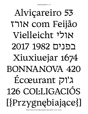# Alviçareiro 53 TTIN com Feijão Vielleicht '51N 2017 1982 11111 Xiuxiuejar 1674 BONNANOVA 420 Ecœurant pl'1 126 COLLIGACIÓS [{Przygnębiające}]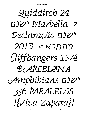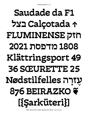# **Saudade da F1 ↑ Calçotada בצל חזק FLUMINENSE 1808 מדפסת 2021 Klättringsport 49 36 SŒURETTE �� זרה Nødstilfelles ָ ֶ ע 876 BEIRAZKO ❦ [{Şarküteri}]**

[©2021 Álvaro Franca, Felipe Casaprima, Ben Nathan /](http://naipe.xyz) *Naipe Foundry*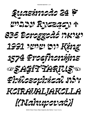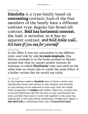**Discórdia** is a type-family based on **contrasting** *contrasts.* Each of the four members of the family have a different contrast type. Regular has broad-nib contrast, **Bold has horizontal contrast**, the *Italic is monoline*, so it has no apparent contrast, *and Bold Italic well... It's best if you see for yourself*

## 18 PT FULL SUITE

In the 1500s it was not uncommon to see *different styles* used side by side **to create emphasis**. One famous example is in the books printed in Mexico around that time by master printer Antonio de Espinosa, in which *Blackletter* type was used on the same lines as *roman type* to create the same effect of a bolder variant like we would use today.

14 PT FULL SUITE

In this *forgotten tradition*, **Discórdia** aims to break current type classification boxes and remind us that *emphasis* and *hierarchy* in type-setting can be achieved in more ways than the simple linear progression of **weights** and widths. These four variants have structural differences *that blur the lines* of type classification but were carefully fine-tuned to work well together on the same line, making this a *mini-super-family* containing a Wedge-Serif regular, a **Slab-Serif bold,** a *Monolinear Italic* and a *Twisted Bold Italic.*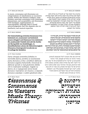## 10 PT REGULAR ENGLISH

In music, consonance and dissonance are categorizations of simultaneous or successive sounds. Within the Western tradition, some listeners associate consonance with sweetness, pleasantness, and acceptability, and dissonance with harshness, unpleasantness, or unacceptability, although there is broad acknowledgement that this depends also on familiarity and musical expertise.

10 PT BOLD GERMAN

**Die Unterscheidung zwischen Konsonanz (von lateinisch con 'zusammen' und lateinisch sonare 'klingen') und Dissonanz (von lateinisch dis 'auseinander') bezieht sich seit der Antike auf die Qualität von Zweiklängen. In abendländischen Lehren der Mehrstimmigkeit (Discantus, Kontrapunkt) wurde sie zur Grundlage der Satzlehre.**

## 10 PT ITALIC SLOVAK

*Čeprav obstajajo pomembna fizikalna in nevrološka dejstva, potrebna za razumevanje pojma disonance, je bila v preteklosti definicija disonance pogojena kulturološko. Konvencije in definicije uporabe se med glasbenimi obdobji, stili in tradicijami razlikujejo. Neglede na dejstvo, da so najpogostejše opisne besede disonance »neprijetno« ali »mučno«, se dejansko disonance pojavljajo v vsakem glasbenem delu.*

**34 PT BOLD ITALIC** 



## 10 PT REGULAR HEBREW

בדברנו על רמות קול יש להבדיל בין מידת לחץ הקול לבין מידת כוח הקול. מידת לחץ הקול נמדדת בעזרת מיקרופונים ומכשירים דומים, וניתן למדוד אותה ישירות. מידת עוצמת הקול, לעומת זאת, היא מידה של כמות האנרגיה המושקעת )ברמקול, למשל) כדי לייצר קול. בשל גורמים סביבתיים והשפעות אחרות, כמות האנרגיה המשמשת להפקת הקול לא בהכרח שווה למידת הקול הנתפש בחושיו של השומע.

## 10 PT BOLD HEBREW

**לא ניתן למדוד עוצמת קול ישירות, ולכן מידה זו מחושבת על-פי נתונים אחרים. ישנן שתי שיטות מקובלות למדידתה: "השיטה הישירה" ו"השיטה ההשוואתית". בשיטה הראשונה מודדים את עוצמת הקול על ידי חישוב משוואה הכוללת את התנאים הסביבתיים )כגון טמפרטורה, לחות, זמן תהודה וכו'( ואת לחץ הקול. בשיטה השנייה, משווים את לחץ הקול ללחץ קול המופק באותם תנאים ממקור קול מוכר המפיק עוצ**

## **10 PT ITALIC HEBREW**

*מדידות כמו אלה שנזכרו לעיל מבוצעות לעיתים בחדרי הדהוד או בחדרים שקטים. חדרי הדהוד מתוכננים כך שייצרו הדים מתמשכים של גלי קול, זאת כדי ליצור רמת קול אחידה מאוד, המגיעה באותה מידה מכל הכיוונים, אם חדר ההדהוד נבנה שלא כהלכה יגיעו ההדים של גלי הקול אל המאזין בזה אחר זה ולא בבת אחת, וייצרו רצף מעורבל במקום צליל נקי. דוגמאות טיפוסיות לחדרים בעלי מאפיינים הדומים לחדרי .הדהוד הן מנהרות בטון ומערות*

**34 PT BOLD ITALIC** 

*דיסוננס & ועיצורים בתורת המוזיקה המערבית: טריטון*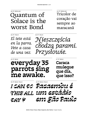40 PT REGULAR

## Quantum of Solace is the worst Bond

24 PT REGULAR Tricolor de coração vai sempre ao maracanã

**26 PT ITALIC** 

*El tete está en la parra. Vete a casa de una vez.*

**40 PT ITALIC** *Nieszczęścia chodzą parami. Przysłowie.*

43 PT BOLD **everyday 35 parrots sing me awake.**

27 PT BOLD

**Caraca muleque que dia, que isso?**

35 PT BOLD ITAL IC

43 PT BOLD ITAL IC

*I CAN DO Pacaembu é THIS ALL um estádio DAY ❦ em São Paulo*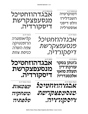*עצמאות משחקיה טלפתיה*

**35 PT BOLD ITALIC** 



## **ג׳ונתן בסקר תעלת סואץ אלכסנדריה** 43 PT BOLD **אבגדהוזחטיכל מנסעפצקרשת דיסקורדיה.**

27 PT BOLD

**עורכת־דין**

**26 PT ITALIC** *קליאופטרה הרומנטיקה צמח השדה כניסת צוות*

*אבגדהוזחטיכל מנסעפצקרשת דיסקורדיה.*

**41 PT ITALIC** 

40 PT REGULAR אבגדהוזחטיכל מנסעפצקרשת דיסקורדיה.

24 PT REGULAR דמוקרטיה השנדלירז וולט דיסני אוסטרליה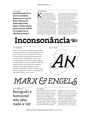11 PT BOLD **Harmònicament és un interval considerat dissonant, tot i que J.S. Bach l'utilitza en la Passió segons Sant Mateu. A l'edat mitjana aquest interval melòdic era conegut com el "diabolus in musica".**

### 5 PT REGULAR

arl Marx leidis, et inimene on hea,<br>koostöövalmis ja mugav ning et<br>ühiskonnavormi määrab majandus<br>Marxi käsitlus inimesest rõhutab heatahtlikkus koostöövalmis ja mugav ning et ühiskonnavormi määrab majandus kui ühiskonna domineeriv institutsioon. Marxi käsitlus inimesest rõhutab heatahtlikkust ja koostöövalmidust. Põhjus, miks inimesed pahatihti teisiti käituvad, tuleneb ühiskonnast.

tusi omandisuhetesse viima, siis peab seda tegema Marx väitis, et inimkonna areng kulgeb ürgkogukond-Marxi filosoofia kasutas Hegeli sõnu teises järjekorras. Kui Hegeli meelest oli Jumal see, kes meid kapitalismi juhtis, siis Marx väitis: "Jumal on ainult mask inimliku ahnuse ja ihade varjamiseks". Marxi kuulus sentents on: "Religioon on oopium rahvale." likust korrast läbi orjandusliku korra feodaalaega, sealt kapitalismi ja edasi sotsialismi. Areng toimub tootmissuhete ehk toodangu ja inimeste vaheliste suhete arenedes. Kes Vanas Roomas omas orja, omas

ka orja toodangut. Seega elas omanike klass tööliste töö arvel. Kas see ei anna töölistele suurt eelist oma õigusi nõuda? Samas väitis Marx, et tundub, nagu ei vajaks omanikud töölisi niipalju kui töölised omanikke. Siinkohal väitis Hegel, et omanike klass tagab kultuuri, teaduse, usu, moraali jne.

Tänapäeval peetakse tööajast mittekinnipidamist ebamoraalseks, ebakultuurseks jne. Marx küsis, miks peaksime kinni pidama omanike poolt respekteeritud moraalist ja seadusandlusest? Marxi arvates on eraomandust soodustavatel seadustel hullutav mõju massidele. Kui omanike klass ise ei ole valmis muudarevolutsioon. Kuna kapitalism kui klassisüsteem ei ole võimeline arenema, oli tööliste võit ja klassivaba ühiskonna loomine ilmne. Kapitalism on sotsialismi tekkeks vajalik eeltingimus, kuna sotsialismi.

## **Inconsonância☜**

## 7 PT REGULAR 150 PT ITALIC

Triton est un autre nom de l'intervalle de quarte augmentée (à ne pas confondre avec la quinte diminuée). Le terme "triton" vient du fait que cet intervalle fait exactement trois tons (alors que la quinte diminuée comporte deux tons et deux demi-tons diatoniques). Le triton a pour particularité d'être un intervalle à mouvement obligé (cet intervalle demande à être résolu du fait de la tension qu'il engendre). Pendant le haut Moyen Âge, la composition musicale du chant grégorien n'hésitait pas à faire apparaître le triton dans les mélodies du septième mode, dont les développements autour de la corde modale du ré



## *MARX & ENGELS*

## 23 PT REGULAR

Borogodó e borocoxô não têm nada a ver

### **6 PT ITALIC**

*Karl Heinrich Marx (Trier, 5 mei 1818 – Londen, 14 maart 1883) was een Duits denker die de (politieke) filosofie, de economie, de sociologie, de journalistiek en de historiografie sterk heeft beïnvloed. Hij was een grondlegger van de arbeidersbeweging en een centraal figuur in de geschiedenis van het socialisme en het communisme. Marx woonde en werkte in Duitsland, in Frankrijk, in België, en Engeland. Zijn bewogen leven deelde hij met zijn vrouw Jenny von* 

*Westphalen en met zijn vriend Friedrich Engels, die hem zijn hele leven steunde – ook financieel – en die na Marx' dood zijn werken persklaar maakte. Als Marx' belangrijkste werk wordt meestal Das Kapital (of in het Nederlands: Het Kapitaal) beschouwd. Daarnaast is zijn Communistisch Manifest (met Friedrich Engels) wereldberoemd. Op het werk en de denkbeelden van Karl Marx (en Friedrich Engels) is het marxisme gebaseerd.*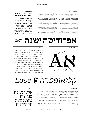### 4 PT REGULAR

ערב אחד ישבו מאלאקליפס ועומאר באולם באולינג, ודנו בסיבה למצבם העגום. מסקנתם הייתה כי הסיבה למצוקתם היא חוסר הסדר המאפיין אותם. לפתע, חושך מוחלט נפל באולם, ומיד לאחריו הציף את הסביבה אור בוהק. רגע לאחר מכן הם הבחינו כי כל הסביבה קפאה על מקומה. בזמן ששאר השחקנים עומדים כבובות ,נכנס לחדר שימפנזה אפור חוטם, שהטיף לבחורים הנדהמים אודות חשיבות הבלבול, והציג בפניהם סמל מוזר. לאחר מכן, השניים איבדו את הכרתם. כשהתעוררו, גילו שהעולם חזר לסורו .מספר לילות לאחר מכן ראה כל אחד מהם בחלומו את הסמל שהראה להם הקוף הופך לאלה "אריס", אלת אי-הסדר והבלבול )שמה הלטיני הוא "דיסקורדיה"(. בחלומם, נתנה להם האלה את ההשראה לנסח את עקרונות הדת. השניים החלו במחקר דתי ופילוסופי וניסחו בכתב את עיקרי הידע המופלא בו זכו.

כתבים אלה הפכו למסמך המרכזי של התנועה ולספר המזוהה עימה ביותר - ה-Discordia Principia. הפרינציפיה מורכבת מאוסף של אמרות שפר, קריקטורות וקטעים חסרי כל שחר או היגיון פנימי (כן, כן, מלבד ההיגיון והאחידות שבחוסר ההיגיון הרציף. וזו הפעם האחרונה שאנחנו נכנסים ללולאה הזו) .ביניהם. משובצים לעתים קטעים שנראים כמו

הנחיות פרקטיות או הוראות מבניות לגבי עקרונות הדת, מוסדותיה וסניפיה, טקסיה ופולחניה השונים - אשר כמובן, בהיותם מלאי אבסורד וחוסר רצינות, לא ברור האם יש לייחס להם איזושהי משמעות מעבר לגחמה הומוריסטית.

בשנים הראשונות לאחר כתיבת הפרינציפיה לא זכתה היצירה לפרסום או הצלחה יוצאי דופן. המפנה הגדול חל בראשית שנות ה־,70 עם עלייתה של התרבות הפסיכדלית. באותה תקופה, תופעות כדיסקורדיה התקבלו באהדה רבה. קבוצות רבות החלו להתאגד ולהקים תאים פרטיים של מאמיני הדת, וחלקם אף נמנו על ארגוני גג גדולים יותר. קשה לאפיין תוכן ממשי לפעולתם, לאור החופש הרב בו דוגלים עקרונות התנועה. בימינו, נראה שמרכז פעילותה של התנועה הוסט במידה רבה לרשת האינטרנט, בה ניתן למצוא כמויות עצומות של אתרים הטוענים להיות מזוהים עם דיסקורדיה. שיטוט בהם יחשוף שלא ברור במה מתבטאת אמונתם של האנשים העומדים מאחוריהם, מלבד הקמת אתרי

לואו־טק זרועי בדיחות. לאור ההימנעות העקרונית מיצירת כל היררכיה שהיא, ברור שיכולות

התמרון של הדת הדיסקורדיאנית מוגבלות מראש. כל שהוגיה יכולים

11 PT BOLD **תנועת דיסקורדיה נוסדה בשלהי שנות ה־ 50על ידי Malaclypse The Lord Omar-ן Younger Khayyam Ravenhurst הידועים גם בכינויים גרג היל וקלי ת'ורנלי. כבדתות רבות ,גם ביסוד דיסקורדיה .עומד סיפור של גילוי והארה**

## **אפרודיטה ישנה ☞**

7 PT REGULAR 150 PT REGULAR



בלוח השנה הדיסקורדיאני יש חמש עונות, חמישה ימים בשבוע וחמישה חגים דתיים. אם נבקש לדלות פרטים יותר פרקטיים לגבי אופן ההצטרפות לדת הזו, נוכל ללמוד כי כל מי שמעוניין יכול להקים תא דתי משלו. על מנת להיות מוסמך לכמורה בארגון העל המאגד את התאים, ה-POEE, לא נדרש דבר - משום שאם אתה מעוניין להיות כומר, אין ספק שאתה גם מתאים לכך. ואם אתה לא רואה את מקומך ב-POEE, אל דאגה - אתה מוזמן להקים ארגון חדש, או אפילו כת חדשה משלך. הכתבים כוללים גם הוראות לטקסים שונים, אשר כולם לגמרי לא מחייבים, במסגרתם ניתן לסגוד לאלה, או לדרגות קדושה אחרים (כן, הכל תמיד בא בחמישיות), שכל אחד יכול לייחס לעצמו, וסיפורים מעוררי השראה אודות קדושים היסטוריים שעיצבו את האמונה

## *קליאופטרה ❦ Love*

### **6 PT ITALIC**

*עד שנת 1870 נחשבה מלחמת טרויה לאגדה בלבד, אך בחפירות ארכאולוגיות שערך היינריך שלימן התגלו שרידי העיר החרבה. שלימן החל את מפעלו בגבעת היסרליק, באסיה הקטנה, ליד מיצר הדרדנלים, אשר לפי המסורת היה המקום שבו שכנה טרויה. החפירות של שלימן אישרו את ההשערה, שהיה קיים במקום יישוב בתקופת הברונזה. אך נתברר, כי באתר זה התקיימו, בזה לבוא בחשבון לקשרים עם העולם האכאי־מיקני. גם אחר זה, לא פחות מתשעה יישובים, אשר חלקם נהרסו על ידי רעידות אדמה, חלקם על ידי שרפה וחלקם אולי על ידי כיבוש.*

*שכבה זאת אינה מייצגת את העיר הגדולה ביותר שצמחה במקום, אף לא את היישוב האחרון שהיה שם. אך היא הייתה מבצר חזק, שנהרס בבירור על ידי שרפה בזמן מסוים סביב שנת 1200 לפנה"ס, דבר המקורב לתאריכים שנקבעו לעלילה המתוארת בשירת הומרוס. מצד אחר, שכבה אחרת של שרידי העיר אינה יכולה ממצאי החפירות בטרויה וביוון של הרבע האחרונה במאה ה־20 — שאמנם עוררו תקוות כי נמצאו עדויות על מהימנות תיאורי הומרוס — התבדו. השרידים של טרויה*

23 PT REGULAR

אלטרנטיבה מוחשית בהתאגדות הקהילתית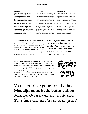**Clarice Lispector (Chechelnyk, Oekraïne, 10 december 1920 – Rio de Janeiro, 9 december 1977) was een Braziliaans schrijfster en journaliste. Ze werd geboren in een Joods gezin in de Oekraïne, maar toen ze twee maanden oud was, werd haar vader verbannen en emigreerden ze naar Brazilië.1 Ze verloor haar moeder toen ze negen jaar oud was. Ze groeide op in Recife maar verhuisde in 1934 met haar familie naar Rio de Janeiro waar ze haar school afmaakte en afstudeerde in rechten. Ze ging werken als lerares en werkte bij twee tijdschriften. Met haar ouders sprak ze jiddisch, maar ze was de eerste van haar familie die Portugees leerde.**

### 6 PT BOLD 6 PT ITAL IC

*Clarice Lispector (son nom de naissance est Chaya Pinkhasovna Lispector1) est une femme de lettres brésilienne. Elle est née le 10 décembre 1920 de parents juifs à Tchetchelnyk, un petit village d'Ukraine et morte le 9 décembre 1977 à Rio de Janeiro. Épouse de diplomate, mystique, elle est reconnue internationalement pour ses romans novateurs, mais elle est aussi une grande nouvelliste et une journaliste de renom, ayant assuré une chronique nationale de façon régulière. Bien que le mot écrivain ait un féminin en portugais, Clarice Lispector refusa toujours son utilisation, assurant « appartenir aux 2 sexes ». Elle est décrite par Benjamin Moser, comme : l'écrivain juif la plus importante depuis Kafka.2*

### 6 PT REGULAR

Clarice Lispector (born Chaya Pinkhasivna Lispector; December 10, 1920 – December 9, 1977) was a Ukrainian-born Brazilian novelist and short story writer acclaimed internationally for her innovative novels and short stories. Born to a Jewish family in Podolia in Western Ukraine, as an infant she moved to Brazil with her family, amidst the disasters engulfing her native land following the First World War. She grew up in Recife, the capital of the northeastern state of Pernambuco, where her mother died when she was nine. The family moved to Rio de Janeiro when she was in her teens. While in law school in Rio, she began publishing her first short stories.

### 7 PT SUITE 12 PT SUITE

A **Revolta dos Malês**, ocorrida em Salvador, capital da Bahia, na noite de 24 para 25 de janeiro de 1835, foi o maior levante de escravizados da história do Brasil.1 Os malês eram negros de origem islâmica que organizaram o levante.2 O termo *malê* tem origem na palavra *imalê*, que significa *"muçulmano"* na língua iorubá.3 **Os malês escreviam em árabe** e seus documentos servem para entender os motivos e circunstâncias do levante.4 **O descontentamento com as condições era geral, mesmo entre os não escravizados.**

A revista **Jacobin Brasil** é uma voz destacada da esquerda mundial. Agora, em português, contribui no Brasil para *uma perspectiva socialista* na política, economia e cultura.

The **Malê revolt** was a Muslim slave rebellion in Brazil. On Sunday January 24th 1835, during Ramadan in the city of Salvador da Bahia, a group of enslaved African Muslims and freedmen, inspired by the **Haitian Revolution**, rose up against the government. At the time, muslims were called *malê* in Bahia, from Yoruba "*imale"* that designated a Yoruba Muslim.1 The uprising took place on the feast day of **Our Lady of Guidance**, when authorities went to Bonfim in order to keep the celebrations in line. With fewer authorities and people in Salvador, it was easier for the rebels to occupy the city.<sup>2</sup>



## 26 PT SUITE

You should've gone for the head **Met zijn neus in de boter vallen** *Faço samba e amor até mais tarde Tous les oiseaux du point du jour?*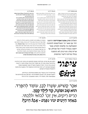### 6 PT REGULAR

דיסקורדיאניזם היא דת מודרנית שנוסדה ב־1958 או ב־1959 בארצות הברית. הדת נוסדה עם פרסום הטקסט הדתי העיקרי שלה, הפרינקיפיה דיסקורדיה מאת מלאקליפס הצעיר.

*בשנת 1958 נישא לסופרת אלן ריילי; לזוג נולדו ארבע* רבים מחזיקים בדיסקורדיאניזם יחד עם דת אחרת. דיסקורדיאניזם טוענת שאי־סדר הוא תכונה חשובה ורצויה לא פחות מסדר. בכך היא מבדילה את עצמה מרוב הדתות, המדגישות את החשיבות של הסדר וההרמוניה בעולם. רבים מחשיבים את הדת לפרודיה, ויש המזהים אותה כגרסה מערבית לזן בודהיזם. עם זאת, ישנם אנשים המזהים עצמם כדיסקורדיאניסטים, במידות שונות של רצינות. האלה אריס, השאולה מהמיתולוגיה היוונית, משמשת לדיסקורדיאניזם כאלה וכמקור חוכמה וידע. לפיכך נקראת הדת לפעמים אריסיאניזם.

### 6 PT BOLD 6 PT ITAL IC

*רוברט אנטון וילסון )באנגלית: Wilson Anton Robert; בינואר 11 - 1932 בינואר (2007 היה סופר, מחזאי, 18 עתידן ופסיכולוג אמריקני.*

*נולד בשם רוברט אדוארד וילסון, בברוקלין, ניו יורק. למד בבית ספר יסודי קתולי, ובתיכון "ברוקלין טק" המתמחה בלימוד מדעים מדויקים. המשיך ללימודי הנדסה ומתמטיקה באוניברסיטת ניו יורק, ועבד כנהג מונית. עבד כעוזר הנדסאי, איש מכירות, ובין השנים 1971–1965 שימש כעורך משנה במגזין פלייבוי. כתב בשעות הפנאי, והשתמש בשם משפחתה של אמו, וילסון, כשם עט. מאז כתב תחת השם רוברט אנטון וילסון. בנות. ב־1976 אחת מבנותיו הוכתה למוות על ידי שודדים, מוחה נשמר בהקפאה. אשתו נפטרה ב־.1999 בשנת 1979 השלים דוקטורט בפסיכולוגיה*

**רוברט אנטון וילסון )באנגלית: Wilson Anton Robert; בינואר 11 - 1932 בינואר (2007 היה סופר, מחזאי, 18 עתידן ופסיכולוג אמריקני. נולד בשם רוברט אדוארד וילסון, בברוקלין, ניו יורק. למד בבית ספר יסודי קתולי, ובתיכון "ברוקלין טק" המתמחה בלימוד מדעים מדויקים. המשיך ללימודי הנדסה ומתמטיקה באוניברסיטת ניו יורק, ועבד כנהג מונית. עבד כעוזר הנדסאי, איש מכירות, ובין השנים 1971–1965 שימש כעורך משנה במגזין פלייבוי. כתב בשעות הפנאי, והשתמש בשם משפחתה של אמו, וילסון, כשם עט. מאז כתב תחת השם רוברט אנטון וילסון. בשנת 1958 נישא לסופרת אלן ריילי; לזוג נולדו ארבע בנות. ב־1976 אחת מבנותיו הוכתה למוות על ידי שודדים, מוחה נשמר בהקפאה. אשתו נפטרה ב־.1999 בשנת 1979 השלים דוקטורט בפסיכולוגיה מאוניברסיטת**

## 7 PT SUITE 12 PT SUITE

האלות **הרה, אתנה ואפרודיטה** הוזמנו יחד עם שאר הר האולימפוס לחתונה המאולצת בין פלאוס ותטיס, אשר יהפכו בעתיד להוריו של אכילס, אך אריס *)אלת המריבות(* לא הוזמנה בגלל נטייתה ליצור מהומות.

בעקבות כך, **אריס** הגיעה למסיבה בהיחבא והטילה על שולחן תפוח עשוי זהב שהיה כתוב עליו *"ליפה מכולן"*, במטרה להסית את האלות להתחיל ויכוח בנוגע למי הכי ראויה. **פאריס האומלל**, נסיך טרויה, אשר אז עוד חי בהר אידה, מונה לבחור את היפה מכולן. כל אחת משלוש האלות הגדולות שהוזכרו קודם, ניסתה לשחד מיד את פאריס שיבחר בה. הרה הבטיחה כוח פוליטי ושליטה בכל אסיה, אתנה הבטיחה מיומנות קרב, חוכמה ויכולות של הלוחמים הגדולים ביותר**, ואפרודיטה הבטיחה לו את האישה היפה ביותר בעולם, הלנה, אשתו של מנלאוס מלך ספרטה.**

8 PT SUITE 55 PT BOLD ITALIC

26 PT SUITE





וילסון כתב 35 יצירות. הטרילוגיה שזכתה לפרסום הרב ביותר היא *"טרילוגיית אילומינטוס"* אותה כתב יחד עם הסופר רוברט שיה ואותה תיארו כ *"מעשיה לאנשים בעלי פרנויה"*. הסדרה מתארת תאוריית קשר מתמשכת משחר האנושות ומערבת ידע, דמיון ויצירתיות הנרקמים יחדיו בהפגנה של כתיבה וירטואוזית ומעוררת השראה.

בטרילוגיית *"ההדק הקוסמי"* בחן נושאים כעתידנות, זן בודהיזם, דיסקורדיאניזם, יוגה, הבונים החופשיים ועוד. הוא סקר את עבודותיהם של באקמינסטר פולר, טימותי לירי, גיאורג איבאנוביץ' גורדייף ועוד

ֹאִכָּר קָטִיּשׁ, שְׂעָרוֹ לָבָן, עוֹמֵד לְהִפְּרֵד. ְ ֹׂ**טן. ֶ ָד ק ָ ל י ֶ ַ ה, קד ל ֹנ א ש ׁ ב וּפו הוּ ָ ֶ ְ** *תִ ּי. כ ל ֹאִי וּל בו ר ל ִים, אֵין זֵכ ֵיק ָהרִים ר ְ ֶ ְ ְ ֶ ָן? ָל הֵיכ ב ׁש - א ָגֵ ֹד נ ִ ּפ ּמִים עו ְ ּ ַא ַח ַ ד היָ ב*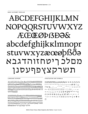## ABCDEFGHIJKLMN NOPQQRSTUVWXYZ **ÆŒØDBDƏ&** abcdefghijkklmnopr stuvwxyzæœøþßða מםלכ ריטחזוהדגבא תשרקצאפףעסנן

**LANGUAGE SUPPORT** 

ÀÁÂÃÄÅĀĂĄÁÆÆÇĆĈĊĎĐÈÉÊËĒĔĖĔ ĘĔĜĞĠĢĤĦÌÍĨĨĨĬĬĬĮIJĺĴĴĶĹĻĽĿŁŃÑŇŅ ŊŊŃŇŅŇŊŊŎÓŎŎŎŎŎŎQŒŒØØŔŖŘ ŚŜŠŞŞŤŦŢŢÙÚÛŨŨŬŮŰÜŲŴŴŴŴŶÝ ŶŶŸŸŹŽŻŽ

àáâãäåāăaåææçćĉċďdèéêëēĕěěĝğġģ ĥhìíîïīiiiiijííkkĺḷłŀľńñňnòóôõöōŏőọœø *ó*ŕŗřśŝšşşťŧţùúûũūŭůűüuẁẃẅẅŷỳŷỹ שׁשרקצפּףסנמלכרִיטזווּהדגּבאאאאַלאַעל **אתרםלכהדאתששש** 

PUNCTUATION AND SYMBOLS

012345678901234567891/2 1/4 3/4 1/8 3/8 3/8 7/8 0 1 2 3 4 5 6 7 8 9 0 1 2 3 4 5 6 7 8 9 @ & ! ; ? % %,;:.... \*\*\*\*,,, \*\*\* ^ ~ <> < \* \* \* \* » • ·( ) [ ] { } ( ) [ ] { }/ | ¦ \ † ‡ \_ - — —  $\uparrow$   $\uparrow$   $\uparrow$   $\uparrow$   $\downarrow$   $\downarrow$   $\downarrow$   $\uparrow$   $\uparrow$   $\uparrow$   $\uparrow$   $\uparrow$   $\uparrow$   $\uparrow$   $\uparrow$   $\uparrow$   $\uparrow$   $\uparrow$   $\uparrow$   $\uparrow$   $\uparrow$   $\uparrow$   $\uparrow$   $\uparrow$   $\uparrow$   $\uparrow$   $\uparrow$   $\uparrow$   $\uparrow$   $\uparrow$   $\uparrow$   $\uparrow$   $\uparrow$   $\uparrow$   $\uparrow$   $\uparrow$   $\uparrow$  $\circ$   $f$   $f$   $g$   $g$   $g$   $g$   $h$   $g$   $h$ <sup> $g$ </sup>  $h$ <sup> $g$ </sup>  $h$ <sup> $g$ </sup>  $f$   $g$   $g$   $h$ ㄱ ± × ÷ ≈ ≠ ≤ ≥ ≈ ∂ ∏ ∑ ◊ √ ∞ ſ ☞ ♥ ☜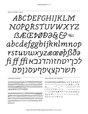# ABCDEFGHIJKLM NOPORSTUVWXYZ BECDØD28G® abcdefggbijkklmnop rstuvuxyzææøpßða fifffik22777177101755 תשרקצץפףעסנןפם

**LANGUAGE SUPPORT** 

*ÀÁÂÃÄÅĀĂĄÁÆÆÇĆĈĊĎĐ*ÈÉÊËĒĔĖĔĘĔĜ ĞĠĢĤĦÌÍÎĨĨĨĬĬĮIJĺĴĴĶĹĻĽĿŁŃÑŇŅŅŊÒÓÔ ÕÖŌŎŐQŒØÓŔŖŔŚŜŠŞŞŤŦŢŢÙÚŨŨŨŬŮŰÜ *UŴŴŴŴŶÝŶŶŸŸŹŽŻŽ* 

àáâãäåāăąåææçćĉċďđèéêëēĕėĕęẽĝğġģĝğ ġģĥbìíîïīīĭiįijijĵĸķĺḷŀŀľńñňṇòóôöööŏőọŗœ *øøŕŗřśŝšşştŧţţùúûũūŭůűüyũwwwŵ*ýý ששרקצפףסנפלכריטזווהדגבאאַאַאַל*בֿל*ענע אתששש

PUNCTUATION AND SYMBOLS

01234567890123456789½ ¼ ¾ ½ ¾ % % % 0 123456789<sub>0123456789</sub>@ $\delta$ ; ; ; ;  $\%$  $[$ ]{}()[]{}/||\tt\_--- ↑ > > > + <  $\leftarrow \ \kappa \ \Leftrightarrow \ \Uparrow \ \oslash \ \oslash \ \mathcal{G} \ \mathcal{I} \ \mathcal{I}^{m \ a \ o \ o \ \zeta \ \zeta \ \mathcal{E} \ \mathcal{B} \ \mathcal{Y} \ \mathcal{E} \ \mathcal{D} \ \Delta$  $\Omega \mu \pi \mathcal{N}^2 + \langle = \rangle - | - \pm \times \div \approx \pm \leq \geq \approx \partial$  $\Pi \Sigma \Diamond V \in \int \mathbb{G} \mathfrak{F}$  to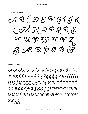$\triangle A \triangle B \triangle B \triangle F G 1 J K$ LOMNOPQRS T U D D D X V Z BCECP0D င်္က

**LANGUAGE SUPPORT** 

À Á Á Á Á H Á Á Á Á Á A A E É CÍC ĎĐÈÉÊËĒĔĚĚĔĘĒĜĞĠĢĤĦÌĺĺĨĨĬĬ İĮĹĴŔĹĹĹĿĿŃÑŇŅÒÓÔŎŎŌŎ ŐQŒØÓŔŖŘŚŜŠŞŞŤŦŢŢÛÚÛ Û Û Ú Ú Ú Ű Ú U Y V DA DÍ DA D D Q Q Q Q Q Q ええええ、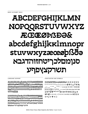# ABCDEFGHIJKLMN NOPQQRSTUVWXYZ **ÆŒŒØÞBÐƏ&** abcdefghijkklmnopr stuvwxyzæœøþßða סנומםלכריטחזוהדגבא תשרקצץפףע

**LANGUAGE SUPPORT** 

**ÀÁÂÃÄÅÅĂĄÁÆÆÇĆĈČĎĐÈÉÊËĒĔĖ** ĘĔĜĞĠĢĤĦÌÍĨĬĨĬĬĬĮIJÍĴĴĶĹĻĽĿŁŃÑŇŅŊ **NŃŇŅŇŊNÒÓÔÕŎŎŎŐQŒŒØØŔŖŘŚŜ** *ŠŞŞŤŦŢŢŨÚŨŨŨŨŬŮŰŨŲŴŴŴŴŶŶ* ŶŶŸŸŹŽŽŽ

àáâãäåāäaåææçćĉċďđèéêëēĕėěĝğġģ ĥħìíïïïïiijijíkkĺlłŀľńñňnòóôõöōŏőọœø *ó*ŕŗřśŝšşşťŧţùúûũūŭůűűüuẁẃẃŵỳýŷỹ **שׁשׂשרקצפּףסנמלכריטזווהדגבאאא£ל22**5 **אתרםלכהדאתשש** 

PUNCTUATION AND SYMBOLS

01234567890123456789½ ¼ ¾ ½ ¾ % % 0123456789 0123456789 @ & ! ; ; ? % %  $\frac{1}{2}$ , ; : . ...  $\frac{1}{2}$  ,  $\frac{1}{2}$  ,  $\frac{1}{2}$  ,  $\frac{1}{2}$  ,  $\frac{1}{2}$  ,  $\frac{1}{2}$  ,  $\frac{1}{2}$  ,  $\frac{1}{2}$  ,  $\frac{1}{2}$  ,  $\frac{1}{2}$  ,  $\frac{1}{2}$  ,  $\frac{1}{2}$  ,  $\frac{1}{2}$  ,  $\frac{1}{2}$  ,  $\frac{1}{2}$  ,  $\frac{1}{2}$  ,  $\frac{1}{2}$  $C \odot \odot S$ ¶  $T^M$  a  $\circ \circ \circ \circ C$   $E$  x  $Y \in \mathbb{D}$   $\Delta$   $\Omega$   $\mu$   $\pi$  $N^{\circ}$   $N^{\circ}$  + < = > - | - ± x ÷ z ≠ ≤ ≥ z ∂  $\Pi$   $\Sigma$   $\lozenge$ **√∞∫** ☞ ҿั ☜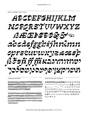# ABCDEFGHIJKLM NOPORSTUUWXYZ **BECP/DESS'D** abedefggbijknimm oprstudux yzacezh ほうまががあくいかいいい nuseuroune rupnun

**LANGUAGE SUPPORT** 

*ÀÁÂÃÄĂĂĂAÁÆÆÇĈĈČĐĐÈÉÊËĔĚĔEĔ* **ŜŠŠȘĤĦÌÍÎĨĨĨĬĬIJIJĨĴŖĹĻĽĿŁŃÑŇŅŅŊÒÔŌ** *ろろろろうGEØŹ*ŔŖŘŚŜŠŞŞŤŦŢŢÙÚŨŨŨŬŮŰ **ÜUŴŴŴŴŶŶŶŶŸŸŹŹŻŹ** 

àáâããåããágásé¢tttäèttettette *ĝĝĝĝĥhàillit (lilini) na kaĉiaŭri*na ĉe ĉi ĉ *ęroszárri śśś* ş ş c t g chú han han han ho bo bo bo iû\\^\^\`\`\ZZZXKKQJYN)`tB\*`7Z\$Z}O9QK`|? ულლლლურ

PUNCTUATION AND SYMBOLS

01234567890123456789½ ½ ¾ ½ ⅔ ½  $123455789$   $0123455789$   $\odot$   $\frac{1}{2}$   $\frac{5}{2}$  %  $\mathcal{Z}_{2}$ , ; : . ...  $\cdots$   $\cdots$ , , ,  $\cdots$  \* - ~  $\leftrightarrow$   $\&$   $\rightarrow$   $\leftrightarrow$   $\rightarrow$   $\cdots$   $\cdots$  $I\{J(J)I\{J/J\}\}$  $\kappa \Leftrightarrow \mathcal{D} \oplus \mathcal{D} \oplus \mathcal{D} \oplus \mathcal{D} \cong \mathcal{D} \oplus \mathcal{D} \oplus \mathcal{D} \oplus \mathcal{D} \oplus \mathcal{D} \oplus \mathcal{D} \oplus \mathcal{D} \oplus \mathcal{D} \oplus \mathcal{D} \oplus \mathcal{D} \oplus \mathcal{D} \oplus \mathcal{D} \oplus \mathcal{D} \oplus \mathcal{D} \oplus \mathcal{D} \oplus \mathcal{D} \oplus \mathcal{D} \oplus \mathcal{D} \oplus \mathcal{D} \oplus \mathcal{D$  $\pi$  N<sup>2</sup> + < = > - | ¬ ± × ÷ ≈ ≠ ≤ ≥ ≈ ∂  $\Pi$  ∑ ◇ √ ∞∫œро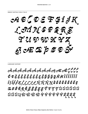CABCDETGIJK LOMNOPQRS  $\mathbf{T}$  21 op op of or  $\mathbf{Z}$ BCECPOE

### **LANGUAGE SUPPORT**

cÀ cÁ c cà cĂ cẢ cà cĂ cÁ cĄ cÆ cÉ ("ĈĈĈ ŎĐÈÉÊËËĚĚÊĚEËĞĞĞGHHÌÍÎÏĬĬ İĮŨĴĶĹĻĽĿŁŃÑŇŅÒĠŌÖŌŎŐQ *足のも*を免えぎぎぎざるず ヂ ヂ ヂ な む む む む ざ ઈ. ઇ. ઇ. ટાૂ એ> એ> એ> એ> જે જે જે જે જે જે ટ્રંટ્રેટ્રેટ્રે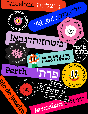